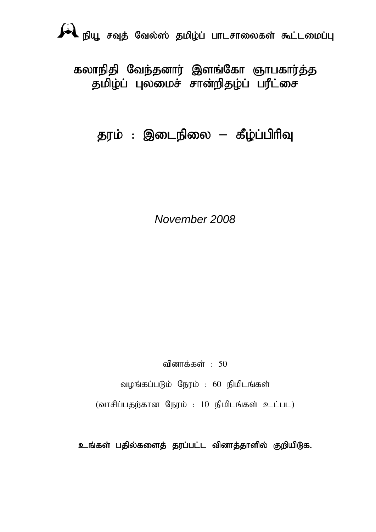epA+ rTj; Nty ;]; jkpo;g ; ghlrhiyfs; \$l;likg;G

கலாநிதி வேந்தனார் இளங்கோ ஞாபகார்த்த தமிழ்ப் புலமைச் சான்றிதழ்ப் பரீட்சை

தரம் : இடைநிலை – கீழ்ப்பிரிவு

*November 2008* 

வினாக்கள் :  $50$ 

வழங்கப்படும் நேரம் : 60 நிமிடங்கள்

 $(\text{diff}$ ப்பதற்கான நேரம் : 10 நிமிடங்கள் உட்பட)

உங்கள் பதில்களைத் தரப்பட்ட வினாத்தாளில் குறியிடுக.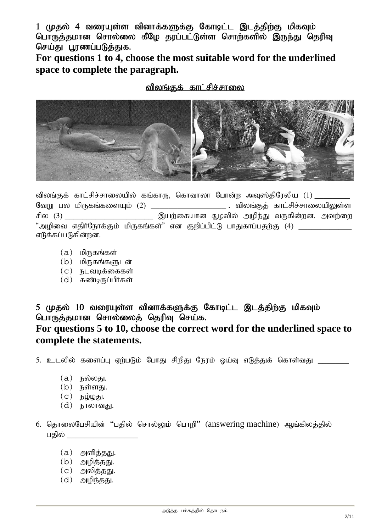1 (முதல் 4 வரையுள்ள வினாக்களுக்கு கோடிட்ட இடத்திற்கு மிகவும் பொருத்தமான சொல்லை கீழே தரப்பட்டுள்ள சொற்களில் இருந்து தெரிவு செய்து பூரணப்படுத்துக.

**For questions 1 to 4, choose the most suitable word for the underlined space to complete the paragraph.** 

#### விலங்குக் காட்சிச்சாலை



விலங்குக் காட்சிச்சாலையில் கங்காரு, கொவாலா போன்ற அவுஸ்திரேலிய (1) \_\_ .<br>வேறு பல மிருகங்களையும் (2) \_\_\_\_\_\_\_\_\_\_\_\_\_\_\_\_\_\_\_\_\_\_\_\_ . விலங்குத் காட்சிச்சாலையிலுள்ள சில  $(3)$  \_\_\_\_\_\_\_\_\_\_\_\_\_\_\_\_\_\_\_\_\_\_\_\_\_\_\_ இயற்கையான சூழலில் அழிந்து வருகின்றன. அவற்றை "அமிவை எகிர்நோக்கும் மிருகங்கள்" என குறிப்பிட்டு பாகுகாப்பகற்கு (4)  $\,$ எடுக்கப்படுகின்றன.

- $(a)$  மிருகங்கள்
- $(b)$  மிருகங்களுடன்
- $(c)$  நடவடிக்கைகள்
- $(d)$  கண்டிருப்பீர்கள்

5 (மதல் 10 வரையுள்ள வினாக்களுக்கு கோடிட்ட இடத்திற்கு மிகவும் பொருத்தமான சொல்லைத் தெரிவு செய்க.

## **For questions 5 to 10, choose the correct word for the underlined space to complete the statements.**

5. உடலில் களைப்பு ஏற்படும் போது சிறிது நேரம் ஓய்வு எடுத்துக் கொள்வது \_\_\_\_\_\_\_\_\_\_\_

- $(a)$  நல்லது.
- $(b)$  நள்ளது.
- $(c)$   $\overline{b}$  $\psi$  $\overline{b}$  $\overline{b}$ .
- $(d)$  நாலாவகு
- 6. தொலைபேசியின் "பதில் சொல்லும் பொறி" (answering machine) ஆங்கிலத்தில் பகில்
	- $(a)$  அளித்தது.
	- $(b)$  அழித்தது.
	- $(c)$  அலித்தது.
	- $(d)$  அழிந்தது.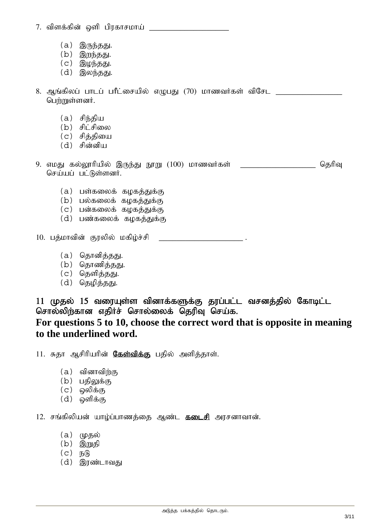7. tpsf;fpd; xsp gpufhrkha; \_\_\_\_\_\_\_\_\_\_\_\_\_\_\_\_\_\_

- $(a)$  இருந்தது.
- $(b)$  இறந்தது.
- $(c)$  இழந்தது.
- $(d)$  இலந்தது.

8. ஆங்கிலப் பாடப் பரீட்சையில் எழுபது (70) மாணவர்கள் விசேட பெற்றுள்ளனர்.

- $(a)$  சிந்திய
- (b) சிட்சிலை
- $(c)$  சிக்கியை
- $(d)$  சின்னிய

9. எமது கல்லூரியில் இருந்து நூறு  $(100)$  மாணவர்கள்  $\qquad \qquad \qquad$  \_\_\_\_\_\_\_\_\_\_\_\_\_\_\_\_\_\_ தெரிவு செய்யப் பட்டுள்ளனர்.

- $(a)$  பள்கலைக் கழகத்துக்கு
- $(b)$  பல்கலைக் கழகத்துக்கு
- $(c)$  பன்கலைக் கழகத்துக்கு
- $(d)$  பண்கலைக் கழகத்துக்கு

10. பத்மாவின் குரலில் மகிழ்ச்சி \_\_\_\_\_\_\_\_\_\_\_\_\_\_\_\_\_\_\_\_\_\_\_\_\_\_\_.

- (a) தொனித்தது.
- $(b)$  தொணித்தது.
- $(c)$  தெளித்தது.
- $(d)$  தெழித்தது.

11 முதல் 15 வரையுள்ள வினாக்களுக்கு தரப்பட்ட வசனத்தில் கோடிட்ட சொல்லிற்கான எதிர்ச் சொல்லைக் தெரிவ செய்க. **For questions 5 to 10, choose the correct word that is opposite in meaning to the underlined word.** 

11. சுதா ஆசிரியரின் **கேள்விக்கு** பதில் அளித்தாள்.

- $(a)$  வினாவிர்கு
- $(b)$  பதிலுக்கு
- $(c)$  ஒலிக்கு
- $(d)$  ஒளிக்கு

12. சங்கிலியன் யாழ்ப்பாணக்கை ஆண்ட **தடைசி** அரசனாவான்.

- $(a)$  ( $\mu$ தல்
- $(b)$  இறுதி
- $(C)$   $\mathsf{F}_0$
- (d) இரண்டாவது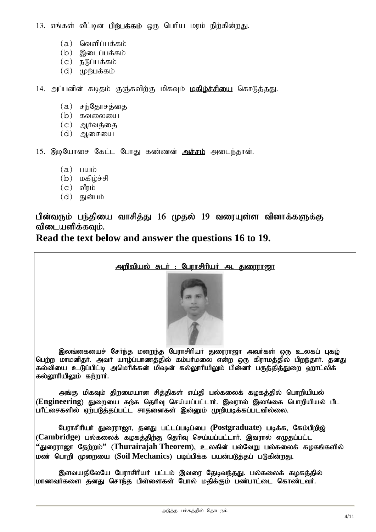13. எங்கள் வீட்டின் **பிற்பக்கம்** ஒரு பெரிய மரம் நிற்கின்றது.

- $(a)$  வெளிப்பக்கம்
- $(b)$  இடைப்பக்கம்
- $(c)$   $\overline{B}$ ( $\overline{B}$ ப்பக்கம்
- $(d)$  (p $\dot{B}$ u $\dot{a}$ abi

14. அப்பனின் கடிதம் குஞ்சுவிற்கு மிகவும் **மகிம்ச்சியை** கொடுத்தது.

- $(a)$  சந்தோசத்தை
- $(b)$   $500000$
- $(c)$  அர்வத்தை
- $(d)$  ஆசையை

15. இழயோசை கேட்ட போகு கண்ணன் **அச்சம்** அடைந்தான்.

- $(a)$   $\Box$
- $(b)$   $\mu$ கிம்ச்சி
- $(c)$  வீரம்
- $(d)$  துன்பம்

## பின்வரும் பந்தியை வாசித்து 16 முதல் 19 வரையுள்ள வினாக்களுக்கு விடையளிக்கவம்.

**Read the text below and answer the questions 16 to 19.**



பெற்ற மாமனிதர். அவர் யாழ்ப்பாணத்தில் கம்பர்மலை என்ற ஒரு கிராமத்தில் பிறந்தார். தனது fy;tpia cLg;gpl;b mnkhpf;fd; kp\d; fy;Y}hpapYk ; gpd;dH gUj;jpj;Jiw `hl;ypf; கல்லூரியிலும் கற்றார்.

அங்கு மிகவும் திறமையான சித்திகள் எய்தி பல்கலைக் கழகத்தில் பொறியியல் ,<br>(**Engineering) துறையை கற்க தெரிவு செய்யப்பட்டார். இவரால் இலங்கை பொறியியல் பீட** பரீட்சைகளில் ஏற்படுத்தப்பட்ட சாதனைகள் இன்னும் முறியடிக்கப்படவில்லை.

பேராசிரியர் துரைராஜா, தனது பட்டப்படிப்பை (Postgraduate) படிக்க, கேம்பிறிஜ் (Cambridge) பல்கலைக் கழகத்திற்கு தெரிவு செய்யப்பட்டார். இவரால் எழுதப்பட்ட <sup>'</sup>'துரைராஜா தேற்றம்'' (Thurairajah Theorem), உலகின் பல்வேறு பல்கலைக் கமகங்களில் மண் பொரி முறையை (Soil Mechanics) படிப்பிக்க பயன்படுத்கப் படுகின்றது.

இளவயதிலேயே பேராசிரியர் பட்டம் இவரை தேடிவந்தது. பல்கலைக் கழகத்தில் மாணவர்களை தனது சொந்த பிள்ளைகள் போல மதிக்கும் பண்பாட்டை கொண்டவர்.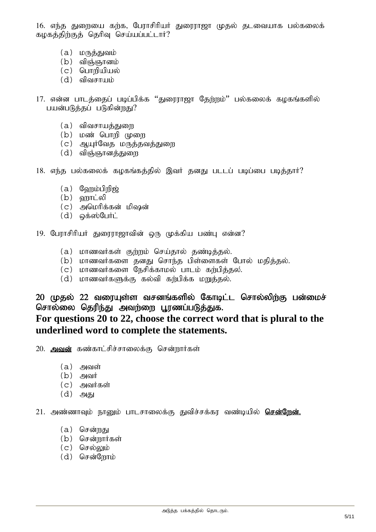16. எந்த துறையை கற்க, பேராசிரியர் துரைராஜா முதல் தடவையாக பல்கலைக் கழகத்திற்குத் தெரிவு செய்யப்பட்டார்?

- $(a)$   $L$  $(th\ddot{\sigma},\dot{\sigma})$
- $(b)$  விஞ்ஞானம்
- $(c)$  பொறியியல்
- $(d)$  விவசாயம்
- 17. என்ன பாடத்தைப் படிப்பிக்க ''துரைராஜா தேற்றம்'' பல்கலைக் கழகங்களில் பயன்படுத்தப் படுகின்றது?
	- (a) விவசாயத்துறை
	- $(b)$  மண் பொறி முறை
	- $(c)$  ஆயுர்வேத மருத்தவத்துறை
	- $(d)$  விஞ்ஞானத்துறை
- 18. எந்த பல்கலைக் கழகங்கத்தில் இவர் தனது படடப் படிப்பை படித்தார்?
	- $(a)$  வேறும்பிறிஜ்
	- $(b)$   $\delta$ mgri $\delta$
	- $(c)$  அமெரிக்கன் மிஷன்
	- $(d)$  @ $\ddot{\theta}$ a $\ddot{\theta}$ @ $\ddot{\theta}$ LITIC
- 19. பேராசிரியர் துரைராஜாவின் ஒரு முக்கிய பண்பு என்ன?
	- $(a)$  மாணவர்கள் குற்றம் செய்தால் தண்டித்தல்.
	- $(b)$  மாணவர்களை தனது சொந்த பிள்ளைகள் போல் மதித்தல்.
	- $(c)$  மாணவர்களை நேசிக்காமல் பாடம் கற்பித்தல்.
	- $(d)$  மாணவர்களுக்கு கல்வி கற்பிக்க மறுத்தல்.

### 20 முதல் 22 வரையுள்ள வசனங்களில் கோடிட்ட சொல்லிற்கு பன்மைச் சொல்லை தெரிந்து அவர்ளை பூரணப்படுத்துக. **For questions 20 to 22, choose the correct word that is plural to the underlined word to complete the statements.**

- 20. அவன் கண்காட்சிச்சாலைக்கு சென்றார்கள்
	- $(a)$  அவள்
	- $(b)$  அவர்
	- $(c)$  அவர்கள்
	- $(d)$  அது

21. அண்ணாவும் நானும் பாடசாலைக்கு துவிச்சக்கர வண்டியில் **சென்றேன்.** 

- $(a)$  சென்றது
- (b) சென்றார்கள்
- $(c)$  செல்லும்
- (d) சென்றோம்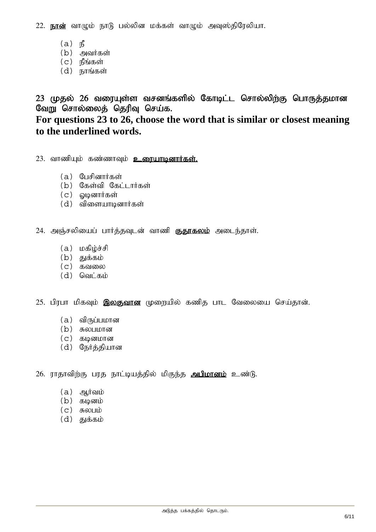22. **நான்** வாழும் நாடு பல்லின மக்கள் வாழும் அவுஸ்திரேலியா.

- $(a)$   $\mathbf{p}$
- $(b)$  அவர்கள்
- $(c)$  நீங்கள்
- $(d)$  நாங்கள்

23 முதல் 26 வரையுள்ள வசனங்களில் கோடிட்ட சொல்லிற்கு பொருத்தமான வேறு சொல்லைத் தெரிவு செய்க. **For questions 23 to 26, choose the word that is similar or closest meaning to the underlined words.** 

 $23.$  வாணியும் கண்ணாவும்  $2.$ ரையாடினார்கள்.

- (a) பேசினார்கள்
- $(b)$  கேள்வி கேட்டார்கள்
- $(c)$  ஒடினார்கள்
- $(d)$  விளையாடினார்கள்

24. அஞ்சலியைப் பார்த்தவுடன் வாணி குதாகலம் அடைந்தாள்.

- $(a)$   $\omega$ கிழ்ச்சி
- $(b)$  துக்கம்
- $(c)$   $\delta$ வலை
- $(d)$  வெட்கம்

25. பிரபா மிகவும் இலகுவான முறையில் கணித பாட வேலையை செய்தான்.

- $(a)$  விருப்பமான
- $(b)$  சுலபமான
- $(c)$  கடினமான
- (d) நேர்த்தியான

26. ராதாவிற்கு பரத நாட்டியத்தில் மிகுந்த **அபிமானம்** உண்டு.

- $(a)$  அூர்வம்
- $(b)$  கடினம்
- $(c)$  சுலபம்
- $(d)$  துக்கம்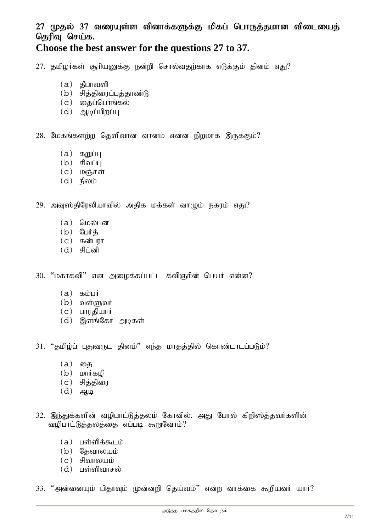# 27 முதல் 37 வரையுள்ள வினாக்களுக்கு மிகப் பொருத்தமான விடையைத் தெரிவு செய்க.

## **Choose the best answer for the questions 27 to 37.**

 $27.$  தமிழர்கள் சூரியனுக்கு நன்றி சொல்வதற்காக எடுக்கும் தினம் எது?

- $(a)$  தீபாவளி
- $(b)$  சித்திரைப்புத்தாண்டு
- $(c)$  தைப்பொங்கல்
- $(d)$  அடிப்பிறப்பு

 $28.$  மேகங்களற்ற தெளிவான வானம் என்ன நிறமாக இருக்கும்?

- $(a)$  கறுப்பு
- $(b)$  சிவப்பு
- $(c)$  மஞ்சள்
- $(d)$   $\mathsf{f}_{\mathsf{S}}$   $\mathsf{f}_{\mathsf{S}}$

 $29.$  அவுஸ்திரேலியாவில் அதிக மக்கள் வாழும் நகரம் எது?

- (a) மெல்பன்
- $(b)$  பேர்க்
- $(c)$  கன்பரா
- $(d)$  சிட்னி

 $30.$  "மகாகவி" என அமைக்கப்பட்ட கவிஞரின் பெயர் என்ன?

- $(a)$   $\delta$ <sub>b</sub>ight
- $(b)$  வள்ளுவர்
- $(c)$  பாரகியார்
- (d) இளங்கோ அடிகள்

31. "தமிழ்ப் புதுவருட தினம்" எந்த மாதத்தில் கொண்டாடப்படும்?

- (a) தை
- $(b)$  *Lorifop*
- $(c)$  சித்திரை
- $(d)$  அழ
- 32. இந்துக்களின் வழிபாட்டுத்தலம் கோவில். அது போல் கிறிஸ்த்தவர்களின் வழிபாட்டுத்தலத்தை எப்படி கூறுவோம்?
	- $(a)$  பள்ளிக்கூடம்
	- $(b)$  குவாலயம்
	- $(c)$  சிவாலயம்
	- $(d)$  பள்ளிவாசல்

 $33.$  "அன்னையும் பிதாவும் முன்னறி தெய்வம்" என்ற வாக்கை கூறியவர் யார்?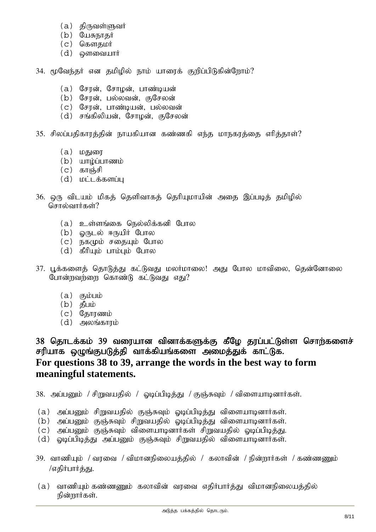- $(a)$  திருவள்ளுவர்
- $(b)$  யேசுநாதர்
- (c) கௌதமர்
- (d) ரைவையார்
- 34. மூவேந்தர் என தமிழில் நாம் யாரைக் குறிப்பிடுகின்றோம்?
	- (a) சேரன், சோழன், பாண்டியன்
	- (b) சோன், பல்லவன், குசேலன்
	- (c) சேரன், பாண்டியன், பல்லவன்
	- (d) சங்கிலியன், சோழன், குசேலன்
- $35.$  சிலப்பதிகாரத்தின் நாயகியான கண்ணகி எந்த மாநகரத்தை எரித்தாள்?
	- $(a)$  மகு
	- $(b)$  யாழ்ப்பாணம்
	- $(c)$  காஞ்சி
	- $(d)$   $L = \frac{1}{2}$   $L = \frac{1}{2}$
- 36. ஒரு விடயம் மிகத் தெளிவாகத் தெரியுமாயின் அதை இப்படித் தமிழில் சொல்வார்கள்?
	- $(a)$  உள்ளங்கை நெல்லிக்கனி போல
	- $(b)$   $\omega$ (நடல் ஈருயிர் போல
	- $(c)$  நகமும் சதையும் போல
	- $(d)$  கீரியும் பாம்பும் போல
- 37. பூக்களைத் தொடுத்து கட்டுவது மலர்மாலை! அது போல மாவிலை, தென்னோலை போன்றவற்றை கொண்டு கட்டுவது எது?
	- $(a)$   $(b)$
	- $(b)$  தீபம்
	- $(c)$  கோரணம்
	- $(d)$  அலங்காாம்

38 தொடக்கம் 39 வரையான வினாக்களுக்கு கீழே தரப்பட்டுள்ள சொற்களைச் சரியாக ஒழுங்குபடுத்தி வாக்கியங்களை அமைத்துக் காட்டுக. **For questions 38 to 39, arrange the words in the best way to form meaningful statements.** 

 $38.$  அப்பனும் / சிறுவயதில் / ஓடிப்பிடித்து / குஞ்சுவும் / விளையாடினார்கள்.

- $(a)$  அப்பனும் சிறுவயதில் குஞ்சுவும் ஓடிப்பிடித்து விளையாடினார்கள்.
- $(b)$  அப்பனும் குஞ்சுவும் சிறுவயதில் ஒடிப்பிடித்து விளையாடினார்கள்.
- $(c)$  அப்பனும் குஞ்சுவும் விளையாடினார்கள் சிறுவயதில் ஒடிப்பிடித்து.
- $(d)$  ஒடிப்பிடித்து அப்பனும் குஞ்சுவும் சிறுவயதில் விளையாடினார்கள்.
- 39. வாணியும் / வரவை / விமானநிலையத்தில் / கலாவின் / நின்றார்கள் / கண்ணணும் /எகிர்பார்த்து.
- $(a)$  வாணியும் கண்ணணும் கலாவின் வரவை எதிர்பார்த்து விமானநிலையத்தில் நின்றார்கள்.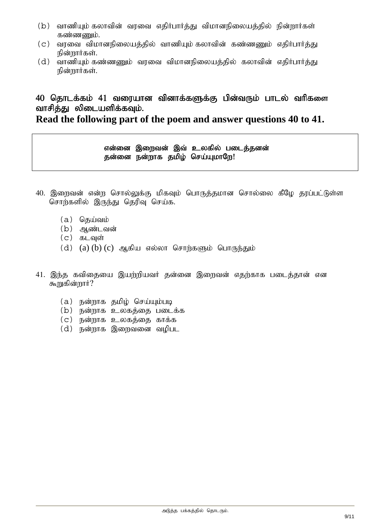- $(b)$  வாணியும் கலாவின் வரவை எதிர்பார்த்து விமானநிலையத்தில் நின்றார்கள் கண்ணணும்.
- $(c)$  வரவை விமானநிலையத்தில் வாணியும் கலாவின் கண்ணணும் எதிர்பார்த்து நின்றார்கள்.
- $(d)$  வாணியும் கண்ணணும் வரவை விமானநிலையத்தில் கலாவின் எதிர்பார்த்து நின்றார்கள்.

# 40 தொடக்கம் 41 வரையான வினாக்களுக்கு பின்வரும் பாடல் வரிகளை வாசிக்கு லிடையளிக்கவம்.

## **Read the following part of the poem and answer questions 40 to 41.**

#### என்னை இறைவன் இவ் உலகில் படைத்தனன் தன்னை நன்றாக தமிழ் செய்யுமாறே!

- 40. இறைவன் என்ற சொல்லுக்கு மிகவும் பொருத்தமான சொல்லை கீழே தரப்பட்டுள்ள சொற்களில் இருந்து தெரிவு செய்க.
	- $(a)$  தெய்வம்
	- (b) ஆண்டவன்
	- $(c)$  கடவுள்
	- $(d)$   $(a)$   $(b)$   $(c)$  ஆகிய எல்லா சொற்களும் பொருந்தும்
- $41.$  இந்த கவிகையை இயற்றியவர் கன்னை இறைவன் எகற்காக படைக்கான் என கூறுகின்றார் $?$ 
	- $(a)$  நன்றாக தமிழ் செய்யும்படி
	- $(b)$  நன்றாக உலகத்தை படைக்க
	- $(c)$  நன்றாக உலகத்தை காக்க
	- $(d)$  நன்றாக இறைவனை வமிபட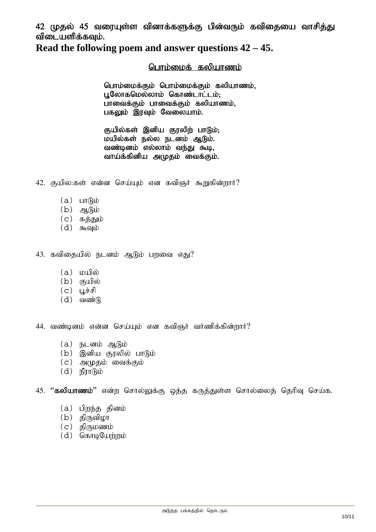42 முதல் 45 வரையுள்ள வினாக்களுக்கு பின்வரும் கவிகையை வாசிக்து விடையளிக்கவும்.

**Read the following poem and answer questions 42 – 45.** 

#### பொம்மைக் கலியாணம்

பொம்மைக்கும் பொம்மைக்கும் கலியாணம், புலோகமெல்லாம் கொண்டாட்டம்: பாவைக்கும் பாவைக்கும் கலியாணம், பகலும் இரவும் வேலையாம்.

குயில்கள் இனிய குரலிற் பாடும்; மயில்கள் நல்ல நடனம் ஆடும். வண்டினம் எல்லாம் வந்து கூடி, வாய்க்கினிய அமுதம் வைக்கும்.

 $42.$  குயில:கள் என்ன செய்யும் என கவிஞர் கூறுகின்றார்?

- $(a)$   $L\n$   $L\n$   $R\n$   $D$
- $(b)$  ஆடும்
- $(c)$  கக்தும்
- $(d)$  கூவும்

 $43.$  கவிதையில் நடனம் ஆடும் பரவை எது?

- $(a)$   $\omega$
- $(b)$  குயில்
- $(c)$  பூச்சி
- $(d)$  வண்டு

44. வண்டினம் என்ன செய்யும் என கவிஞர் வர்ணிக்கின்றார்?

- $(a)$  நடனம் ஆடும்
- $(b)$  இனிய குரலில் பாடும்
- $(c)$  அமுதம் வைக்கும்
- $(d)$   $n\int_{0}^{\infty}$   $\int_{0}^{\infty}$

45. "கலியாணம்" என்ற சொல்லுக்கு ஒத்த கருத்துள்ள சொல்லைத் தெரிவு செய்க.

- $(a)$  பிறந்த தினம்
- $(b)$  திருவிழா
- $(c)$  திருமணம்
- $(d)$  தொடியேற்றம்